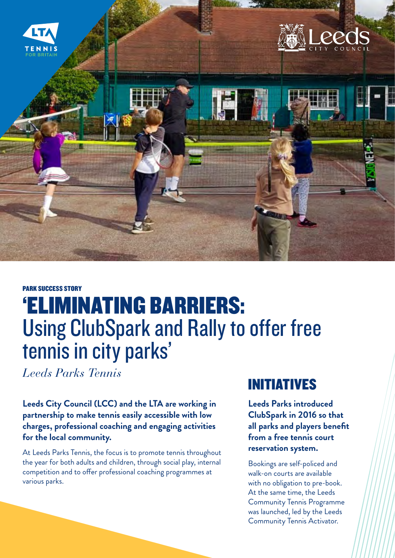

#### PARK SUCCESS STORY

# 'ELIMINATING BARRIERS: Using ClubSpark and Rally to offer free tennis in city parks'

*Leeds Parks Tennis* 

**Leeds City Council (LCC) and the LTA are working in partnership to make tennis easily accessible with low charges, professional coaching and engaging activities for the local community.**

At Leeds Parks Tennis, the focus is to promote tennis throughout the year for both adults and children, through social play, internal competition and to offer professional coaching programmes at various parks.

### INITIATIVES

**Leeds Parks introduced ClubSpark in 2016 so that all parks and players benefit from a free tennis court reservation system.** 

Bookings are self-policed and walk-on courts are available with no obligation to pre-book. At the same time, the Leeds Community Tennis Programme was launched, led by the Leeds Community Tennis Activator.